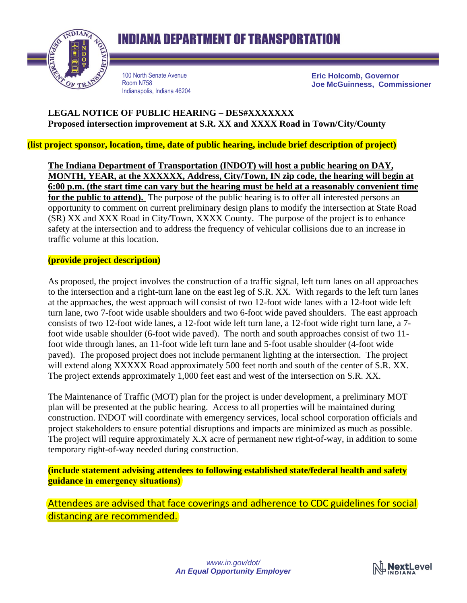

100 North Senate Avenue Room N758 Indianapolis, Indiana 46204 **Eric Holcomb, Governor Joe McGuinness, Commissioner**

## **LEGAL NOTICE OF PUBLIC HEARING – DES#XXXXXXX Proposed intersection improvement at S.R. XX and XXXX Road in Town/City/County**

**(list project sponsor, location, time, date of public hearing, include brief description of project)**

**The Indiana Department of Transportation (INDOT) will host a public hearing on DAY, MONTH, YEAR, at the XXXXXX, Address, City/Town, IN zip code, the hearing will begin at 6:00 p.m. (the start time can vary but the hearing must be held at a reasonably convenient time** for the public to attend). The purpose of the public hearing is to offer all interested persons an opportunity to comment on current preliminary design plans to modify the intersection at State Road (SR) XX and XXX Road in City/Town, XXXX County. The purpose of the project is to enhance safety at the intersection and to address the frequency of vehicular collisions due to an increase in traffic volume at this location.

### **(provide project description)**

As proposed, the project involves the construction of a traffic signal, left turn lanes on all approaches to the intersection and a right-turn lane on the east leg of S.R. XX. With regards to the left turn lanes at the approaches, the west approach will consist of two 12-foot wide lanes with a 12-foot wide left turn lane, two 7-foot wide usable shoulders and two 6-foot wide paved shoulders. The east approach consists of two 12-foot wide lanes, a 12-foot wide left turn lane, a 12-foot wide right turn lane, a 7 foot wide usable shoulder (6-foot wide paved). The north and south approaches consist of two 11 foot wide through lanes, an 11-foot wide left turn lane and 5-foot usable shoulder (4-foot wide paved). The proposed project does not include permanent lighting at the intersection. The project will extend along XXXXX Road approximately 500 feet north and south of the center of S.R. XX. The project extends approximately 1,000 feet east and west of the intersection on S.R. XX.

The Maintenance of Traffic (MOT) plan for the project is under development, a preliminary MOT plan will be presented at the public hearing. Access to all properties will be maintained during construction. INDOT will coordinate with emergency services, local school corporation officials and project stakeholders to ensure potential disruptions and impacts are minimized as much as possible. The project will require approximately X.X acre of permanent new right-of-way, in addition to some temporary right-of-way needed during construction.

**(include statement advising attendees to following established state/federal health and safety guidance in emergency situations)**

Attendees are advised that face coverings and adherence to CDC guidelines for social distancing are recommended.

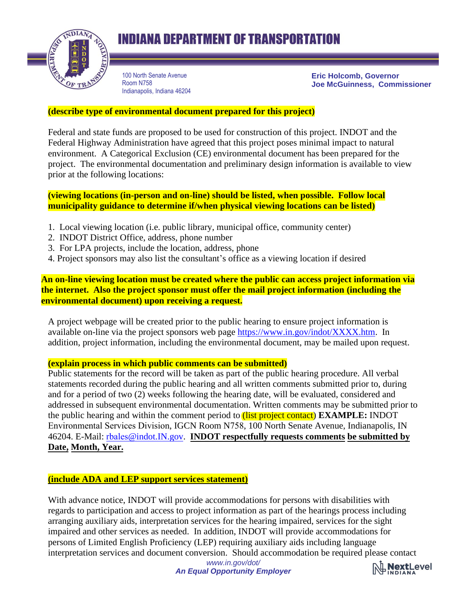

# **INDIANA DEPARTMENT OF TRANSPORTATION**

100 North Senate Avenue Room N758 Indianapolis, Indiana 46204 **Eric Holcomb, Governor Joe McGuinness, Commissioner**

### **(describe type of environmental document prepared for this project)**

Federal and state funds are proposed to be used for construction of this project. INDOT and the Federal Highway Administration have agreed that this project poses minimal impact to natural environment. A Categorical Exclusion (CE) environmental document has been prepared for the project. The environmental documentation and preliminary design information is available to view prior at the following locations:

**(viewing locations (in-person and on-line) should be listed, when possible. Follow local municipality guidance to determine if/when physical viewing locations can be listed)**

- 1. Local viewing location (i.e. public library, municipal office, community center)
- 2. INDOT District Office, address, phone number
- 3. For LPA projects, include the location, address, phone
- 4. Project sponsors may also list the consultant's office as a viewing location if desired

**An on-line viewing location must be created where the public can access project information via the internet. Also the project sponsor must offer the mail project information (including the environmental document) upon receiving a request.**

A project webpage will be created prior to the public hearing to ensure project information is available on-line via the project sponsors web page [https://www.in.gov/indot/XXXX.htm.](https://www.in.gov/indot/XXXX.htm) In addition, project information, including the environmental document, may be mailed upon request.

#### **(explain process in which public comments can be submitted)**

Public statements for the record will be taken as part of the public hearing procedure. All verbal statements recorded during the public hearing and all written comments submitted prior to, during and for a period of two (2) weeks following the hearing date, will be evaluated, considered and addressed in subsequent environmental documentation. Written comments may be submitted prior to the public hearing and within the comment period to (list project contact) **EXAMPLE:** INDOT Environmental Services Division, IGCN Room N758, 100 North Senate Avenue, Indianapolis, IN 46204. E-Mail: rbales[@indot.IN.gov.](mailto:rbales@indot.in.gov) **INDOT respectfully requests comments be submitted by Date, Month, Year.**

#### **(include ADA and LEP support services statement)**

With advance notice, INDOT will provide accommodations for persons with disabilities with regards to participation and access to project information as part of the hearings process including arranging auxiliary aids, interpretation services for the hearing impaired, services for the sight impaired and other services as needed. In addition, INDOT will provide accommodations for persons of Limited English Proficiency (LEP) requiring auxiliary aids including language interpretation services and document conversion. Should accommodation be required please contact

> *www.in.gov/dot/ An Equal Opportunity Employer*